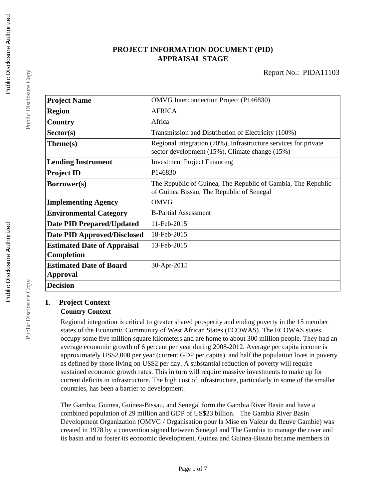# **PROJECT INFORMATION DOCUMENT (PID) APPRAISAL STAGE**

| <b>Project Name</b>                | OMVG Interconnection Project (P146830)                                                                            |
|------------------------------------|-------------------------------------------------------------------------------------------------------------------|
| <b>Region</b>                      | <b>AFRICA</b>                                                                                                     |
| Country                            | Africa                                                                                                            |
| Sector(s)                          | Transmission and Distribution of Electricity (100%)                                                               |
| Theme(s)                           | Regional integration (70%), Infrastructure services for private<br>sector development (15%), Climate change (15%) |
| <b>Lending Instrument</b>          | <b>Investment Project Financing</b>                                                                               |
| <b>Project ID</b>                  | P146830                                                                                                           |
| Borrower(s)                        | The Republic of Guinea, The Republic of Gambia, The Republic<br>of Guinea Bissau, The Republic of Senegal         |
| <b>Implementing Agency</b>         | <b>OMVG</b>                                                                                                       |
| <b>Environmental Category</b>      | <b>B-Partial Assessment</b>                                                                                       |
| <b>Date PID Prepared/Updated</b>   | 11-Feb-2015                                                                                                       |
| <b>Date PID Approved/Disclosed</b> | 18-Feb-2015                                                                                                       |
| <b>Estimated Date of Appraisal</b> | 13-Feb-2015                                                                                                       |
| Completion                         |                                                                                                                   |
| <b>Estimated Date of Board</b>     | 30-Apr-2015                                                                                                       |
| <b>Approval</b>                    |                                                                                                                   |
| <b>Decision</b>                    |                                                                                                                   |

# **I. Project Context**

## **Country Context**

Regional integration is critical to greater shared prosperity and ending poverty in the 15 member states of the Economic Community of West African States (ECOWAS). The ECOWAS states occupy some five million square kilometers and are home to about 300 million people. They had an average economic growth of 6 percent per year during 2008-2012. Average per capita income is approximately US\$2,000 per year (current GDP per capita), and half the population lives in poverty as defined by those living on US\$2 per day. A substantial reduction of poverty will require sustained economic growth rates. This in turn will require massive investments to make up for current deficits in infrastructure. The high cost of infrastructure, particularly in some of the smaller countries, has been a barrier to development.

The Gambia, Guinea, Guinea-Bissau, and Senegal form the Gambia River Basin and have a combined population of 29 million and GDP of US\$23 billion. The Gambia River Basin Development Organization (OMVG / Organisation pour la Mise en Valeur du fleuve Gambie) was created in 1978 by a convention signed between Senegal and The Gambia to manage the river and its basin and to foster its economic development. Guinea and Guinea-Bissau became members in

Public Disclosure Copy

Public Disclosure Copy

Public Disclosure Copy

Public Disclosure Copy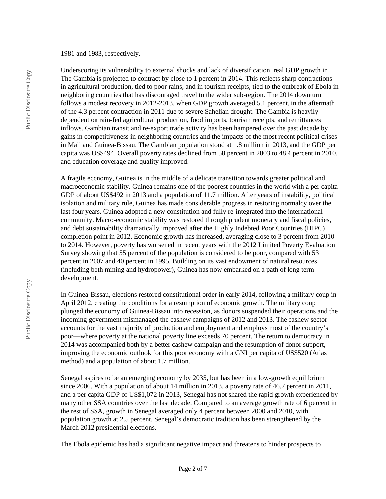#### 1981 and 1983, respectively.

Underscoring its vulnerability to external shocks and lack of diversification, real GDP growth in The Gambia is projected to contract by close to 1 percent in 2014. This reflects sharp contractions in agricultural production, tied to poor rains, and in tourism receipts, tied to the outbreak of Ebola in neighboring countries that has discouraged travel to the wider sub-region. The 2014 downturn follows a modest recovery in 2012-2013, when GDP growth averaged 5.1 percent, in the aftermath of the 4.3 percent contraction in 2011 due to severe Sahelian drought. The Gambia is heavily dependent on rain-fed agricultural production, food imports, tourism receipts, and remittances inflows. Gambian transit and re-export trade activity has been hampered over the past decade by gains in competitiveness in neighboring countries and the impacts of the most recent political crises in Mali and Guinea-Bissau. The Gambian population stood at 1.8 million in 2013, and the GDP per capita was US\$494. Overall poverty rates declined from 58 percent in 2003 to 48.4 percent in 2010, and education coverage and quality improved.

A fragile economy, Guinea is in the middle of a delicate transition towards greater political and macroeconomic stability. Guinea remains one of the poorest countries in the world with a per capita GDP of about US\$492 in 2013 and a population of 11.7 million. After years of instability, political isolation and military rule, Guinea has made considerable progress in restoring normalcy over the last four years. Guinea adopted a new constitution and fully re-integrated into the international community. Macro-economic stability was restored through prudent monetary and fiscal policies, and debt sustainability dramatically improved after the Highly Indebted Poor Countries (HIPC) completion point in 2012. Economic growth has increased, averaging close to 3 percent from 2010 to 2014. However, poverty has worsened in recent years with the 2012 Limited Poverty Evaluation Survey showing that 55 percent of the population is considered to be poor, compared with 53 percent in 2007 and 40 percent in 1995. Building on its vast endowment of natural resources (including both mining and hydropower), Guinea has now embarked on a path of long term development.

In Guinea-Bissau, elections restored constitutional order in early 2014, following a military coup in April 2012, creating the conditions for a resumption of economic growth. The military coup plunged the economy of Guinea-Bissau into recession, as donors suspended their operations and the incoming government mismanaged the cashew campaigns of 2012 and 2013. The cashew sector accounts for the vast majority of production and employment and employs most of the country's poor—where poverty at the national poverty line exceeds 70 percent. The return to democracy in 2014 was accompanied both by a better cashew campaign and the resumption of donor support, improving the economic outlook for this poor economy with a GNI per capita of US\$520 (Atlas method) and a population of about 1.7 million.

Senegal aspires to be an emerging economy by 2035, but has been in a low-growth equilibrium since 2006. With a population of about 14 million in 2013, a poverty rate of 46.7 percent in 2011, and a per capita GDP of US\$1,072 in 2013, Senegal has not shared the rapid growth experienced by many other SSA countries over the last decade. Compared to an average growth rate of 6 percent in the rest of SSA, growth in Senegal averaged only 4 percent between 2000 and 2010, with population growth at 2.5 percent. Senegal's democratic tradition has been strengthened by the March 2012 presidential elections.

The Ebola epidemic has had a significant negative impact and threatens to hinder prospects to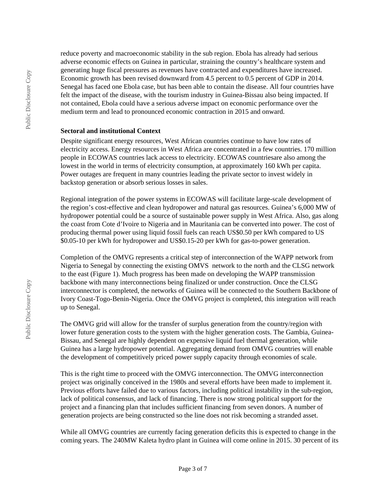reduce poverty and macroeconomic stability in the sub region. Ebola has already had serious adverse economic effects on Guinea in particular, straining the country's healthcare system and generating huge fiscal pressures as revenues have contracted and expenditures have increased. Economic growth has been revised downward from 4.5 percent to 0.5 percent of GDP in 2014. Senegal has faced one Ebola case, but has been able to contain the disease. All four countries have felt the impact of the disease, with the tourism industry in Guinea-Bissau also being impacted. If not contained, Ebola could have a serious adverse impact on economic performance over the medium term and lead to pronounced economic contraction in 2015 and onward.

#### **Sectoral and institutional Context**

Despite significant energy resources, West African countries continue to have low rates of electricity access. Energy resources in West Africa are concentrated in a few countries. 170 million people in ECOWAS countries lack access to electricity. ECOWAS countriesare also among the lowest in the world in terms of electricity consumption, at approximately 160 kWh per capita. Power outages are frequent in many countries leading the private sector to invest widely in backstop generation or absorb serious losses in sales.

Regional integration of the power systems in ECOWAS will facilitate large-scale development of the region's cost-effective and clean hydropower and natural gas resources. Guinea's 6,000 MW of hydropower potential could be a source of sustainable power supply in West Africa. Also, gas along the coast from Cote d'Ivoire to Nigeria and in Mauritania can be converted into power. The cost of producing thermal power using liquid fossil fuels can reach US\$0.50 per kWh compared to US \$0.05-10 per kWh for hydropower and US\$0.15-20 per kWh for gas-to-power generation.

Completion of the OMVG represents a critical step of interconnection of the WAPP network from Nigeria to Senegal by connecting the existing OMVS network to the north and the CLSG network to the east (Figure 1). Much progress has been made on developing the WAPP transmission backbone with many interconnections being finalized or under construction. Once the CLSG interconnector is completed, the networks of Guinea will be connected to the Southern Backbone of Ivory Coast-Togo-Benin-Nigeria. Once the OMVG project is completed, this integration will reach up to Senegal.

The OMVG grid will allow for the transfer of surplus generation from the country/region with lower future generation costs to the system with the higher generation costs. The Gambia, Guinea-Bissau, and Senegal are highly dependent on expensive liquid fuel thermal generation, while Guinea has a large hydropower potential. Aggregating demand from OMVG countries will enable the development of competitively priced power supply capacity through economies of scale.

This is the right time to proceed with the OMVG interconnection. The OMVG interconnection project was originally conceived in the 1980s and several efforts have been made to implement it. Previous efforts have failed due to various factors, including political instability in the sub-region, lack of political consensus, and lack of financing. There is now strong political support for the project and a financing plan that includes sufficient financing from seven donors. A number of generation projects are being constructed so the line does not risk becoming a stranded asset.

While all OMVG countries are currently facing generation deficits this is expected to change in the coming years. The 240MW Kaleta hydro plant in Guinea will come online in 2015. 30 percent of its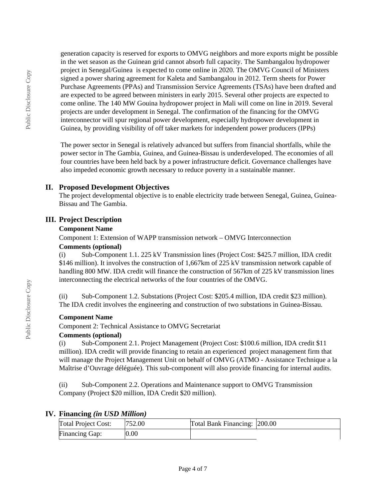generation capacity is reserved for exports to OMVG neighbors and more exports might be possible in the wet season as the Guinean grid cannot absorb full capacity. The Sambangalou hydropower project in Senegal/Guinea is expected to come online in 2020. The OMVG Council of Ministers signed a power sharing agreement for Kaleta and Sambangalou in 2012. Term sheets for Power Purchase Agreements (PPAs) and Transmission Service Agreements (TSAs) have been drafted and are expected to be agreed between ministers in early 2015. Several other projects are expected to come online. The 140 MW Gouina hydropower project in Mali will come on line in 2019. Several projects are under development in Senegal. The confirmation of the financing for the OMVG interconnector will spur regional power development, especially hydropower development in Guinea, by providing visibility of off taker markets for independent power producers (IPPs)

The power sector in Senegal is relatively advanced but suffers from financial shortfalls, while the power sector in The Gambia, Guinea, and Guinea-Bissau is underdeveloped. The economies of all four countries have been held back by a power infrastructure deficit. Governance challenges have also impeded economic growth necessary to reduce poverty in a sustainable manner.

## **II. Proposed Development Objectives**

The project developmental objective is to enable electricity trade between Senegal, Guinea, Guinea-Bissau and The Gambia.

## **III. Project Description**

#### **Component Name**

Component 1: Extension of WAPP transmission network – OMVG Interconnection

#### **Comments (optional)**

(i) Sub-Component 1.1. 225 kV Transmission lines (Project Cost: \$425.7 million, IDA credit \$146 million). It involves the construction of 1,667km of 225 kV transmission network capable of handling 800 MW. IDA credit will finance the construction of 567km of 225 kV transmission lines interconnecting the electrical networks of the four countries of the OMVG.

(ii) Sub-Component 1.2. Substations (Project Cost: \$205.4 million, IDA credit \$23 million). The IDA credit involves the engineering and construction of two substations in Guinea-Bissau.

## **Component Name**

Component 2: Technical Assistance to OMVG Secretariat

#### **Comments (optional)**

(i) Sub-Component 2.1. Project Management (Project Cost: \$100.6 million, IDA credit \$11 million). IDA credit will provide financing to retain an experienced project management firm that will manage the Project Management Unit on behalf of OMVG (ATMO - Assistance Technique a la Maîtrise d'Ouvrage déléguée). This sub-component will also provide financing for internal audits.

(ii) Sub-Component 2.2. Operations and Maintenance support to OMVG Transmission Company (Project \$20 million, IDA Credit \$20 million).

## **IV. Financing** *(in USD Million)*

| <b>Total Project Cost:</b> | 752.00 | Total Bank Financing: 200.00 |  |
|----------------------------|--------|------------------------------|--|
| Financing Gap:             | 0.00   |                              |  |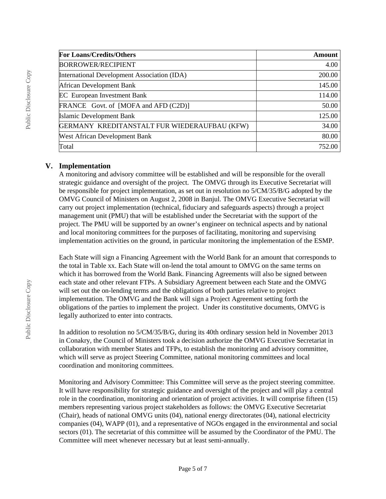| <b>For Loans/Credits/Others</b>              | Amount |
|----------------------------------------------|--------|
| <b>BORROWER/RECIPIENT</b>                    | 4.00   |
| International Development Association (IDA)  | 200.00 |
| African Development Bank                     | 145.00 |
| <b>EC</b> European Investment Bank           | 114.00 |
| FRANCE Govt. of [MOFA and AFD (C2D)]         | 50.00  |
| <b>Islamic Development Bank</b>              | 125.00 |
| GERMANY KREDITANSTALT FUR WIEDERAUFBAU (KFW) | 34.00  |
| <b>West African Development Bank</b>         | 80.00  |
| Total                                        | 752.00 |

#### **V. Implementation**

A monitoring and advisory committee will be established and will be responsible for the overall strategic guidance and oversight of the project. The OMVG through its Executive Secretariat will be responsible for project implementation, as set out in resolution no 5/CM/35/B/G adopted by the OMVG Council of Ministers on August 2, 2008 in Banjul. The OMVG Executive Secretariat will carry out project implementation (technical, fiduciary and safeguards aspects) through a project management unit (PMU) that will be established under the Secretariat with the support of the project. The PMU will be supported by an owner's engineer on technical aspects and by national and local monitoring committees for the purposes of facilitating, monitoring and supervising implementation activities on the ground, in particular monitoring the implementation of the ESMP.

Each State will sign a Financing Agreement with the World Bank for an amount that corresponds to the total in Table xx. Each State will on-lend the total amount to OMVG on the same terms on which it has borrowed from the World Bank. Financing Agreements will also be signed between each state and other relevant FTPs. A Subsidiary Agreement between each State and the OMVG will set out the on-lending terms and the obligations of both parties relative to project implementation. The OMVG and the Bank will sign a Project Agreement setting forth the obligations of the parties to implement the project. Under its constitutive documents, OMVG is legally authorized to enter into contracts.

In addition to resolution no 5/CM/35/B/G, during its 40th ordinary session held in November 2013 in Conakry, the Council of Ministers took a decision authorize the OMVG Executive Secretariat in collaboration with member States and TFPs, to establish the monitoring and advisory committee, which will serve as project Steering Committee, national monitoring committees and local coordination and monitoring committees.

Monitoring and Advisory Committee: This Committee will serve as the project steering committee. It will have responsibility for strategic guidance and oversight of the project and will play a central role in the coordination, monitoring and orientation of project activities. It will comprise fifteen (15) members representing various project stakeholders as follows: the OMVG Executive Secretariat (Chair), heads of national OMVG units (04), national energy directorates (04), national electricity companies (04), WAPP (01), and a representative of NGOs engaged in the environmental and social sectors (01). The secretariat of this committee will be assumed by the Coordinator of the PMU. The Committee will meet whenever necessary but at least semi-annually.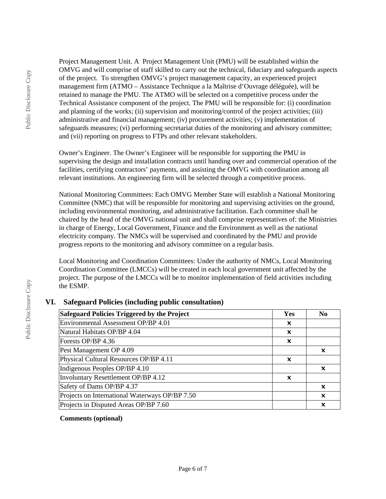Project Management Unit. A Project Management Unit (PMU) will be established within the OMVG and will comprise of staff skilled to carry out the technical, fiduciary and safeguards aspects of the project. To strengthen OMVG's project management capacity, an experienced project management firm (ATMO – Assistance Technique a la Maîtrise d'Ouvrage déléguée), will be retained to manage the PMU. The ATMO will be selected on a competitive process under the Technical Assistance component of the project. The PMU will be responsible for: (i) coordination and planning of the works; (ii) supervision and monitoring/control of the project activities; (iii) administrative and financial management; (iv) procurement activities; (v) implementation of safeguards measures; (vi) performing secretariat duties of the monitoring and advisory committee; and (vii) reporting on progress to FTPs and other relevant stakeholders.

Owner's Engineer. The Owner's Engineer will be responsible for supporting the PMU in supervising the design and installation contracts until handing over and commercial operation of the facilities, certifying contractors' payments, and assisting the OMVG with coordination among all relevant institutions. An engineering firm will be selected through a competitive process.

National Monitoring Committees: Each OMVG Member State will establish a National Monitoring Committee (NMC) that will be responsible for monitoring and supervising activities on the ground, including environmental monitoring, and administrative facilitation. Each committee shall be chaired by the head of the OMVG national unit and shall comprise representatives of: the Ministries in charge of Energy, Local Government, Finance and the Environment as well as the national electricity company. The NMCs will be supervised and coordinated by the PMU and provide progress reports to the monitoring and advisory committee on a regular basis.

Local Monitoring and Coordination Committees: Under the authority of NMCs, Local Monitoring Coordination Committee (LMCCs) will be created in each local government unit affected by the project. The purpose of the LMCCs will be to monitor implementation of field activities including the ESMP.

## **VI. Safeguard Policies (including public consultation)**

| Safeguard Policies Triggered by the Project    |   | N <sub>0</sub> |
|------------------------------------------------|---|----------------|
| Environmental Assessment OP/BP 4.01            | X |                |
| Natural Habitats OP/BP 4.04                    | X |                |
| Forests OP/BP 4.36                             | x |                |
| Pest Management OP 4.09                        |   | x              |
| Physical Cultural Resources OP/BP 4.11         | X |                |
| Indigenous Peoples OP/BP 4.10                  |   | x              |
| Involuntary Resettlement OP/BP 4.12            | X |                |
| Safety of Dams OP/BP 4.37                      |   | X              |
| Projects on International Waterways OP/BP 7.50 |   | X              |
| Projects in Disputed Areas OP/BP 7.60          |   | x              |

#### **Comments (optional)**